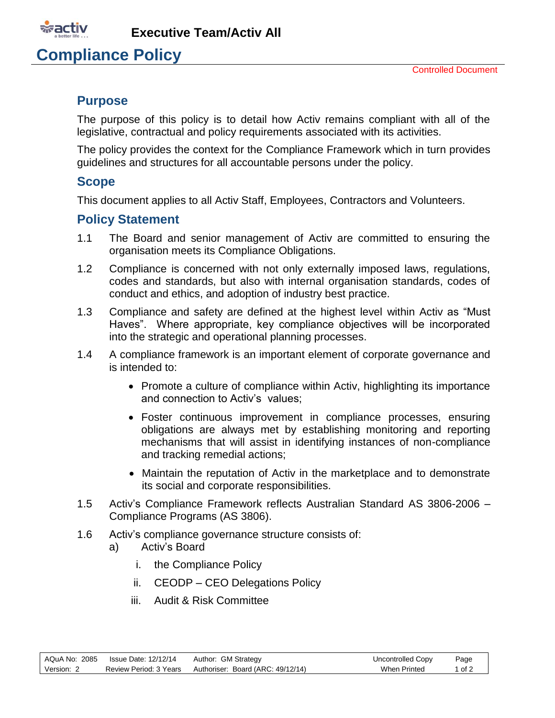

**Executive Team/Activ All**

## **Compliance Policy**

### **Purpose**

The purpose of this policy is to detail how Activ remains compliant with all of the legislative, contractual and policy requirements associated with its activities.

The policy provides the context for the Compliance Framework which in turn provides guidelines and structures for all accountable persons under the policy.

#### **Scope**

This document applies to all Activ Staff, Employees, Contractors and Volunteers.

### **Policy Statement**

- 1.1 The Board and senior management of Activ are committed to ensuring the organisation meets its Compliance Obligations.
- 1.2 Compliance is concerned with not only externally imposed laws, regulations, codes and standards, but also with internal organisation standards, codes of conduct and ethics, and adoption of industry best practice.
- 1.3 Compliance and safety are defined at the highest level within Activ as "Must Haves". Where appropriate, key compliance objectives will be incorporated into the strategic and operational planning processes.
- 1.4 A compliance framework is an important element of corporate governance and is intended to:
	- Promote a culture of compliance within Activ, highlighting its importance and connection to Activ's values;
	- Foster continuous improvement in compliance processes, ensuring obligations are always met by establishing monitoring and reporting mechanisms that will assist in identifying instances of non-compliance and tracking remedial actions;
	- Maintain the reputation of Activ in the marketplace and to demonstrate its social and corporate responsibilities.
- 1.5 Activ's Compliance Framework reflects Australian Standard AS 3806-2006 Compliance Programs (AS 3806).
- 1.6 Activ's compliance governance structure consists of:
	- a) Activ's Board
		- i. the Compliance Policy
		- ii. CEODP CEO Delegations Policy
		- iii. Audit & Risk Committee